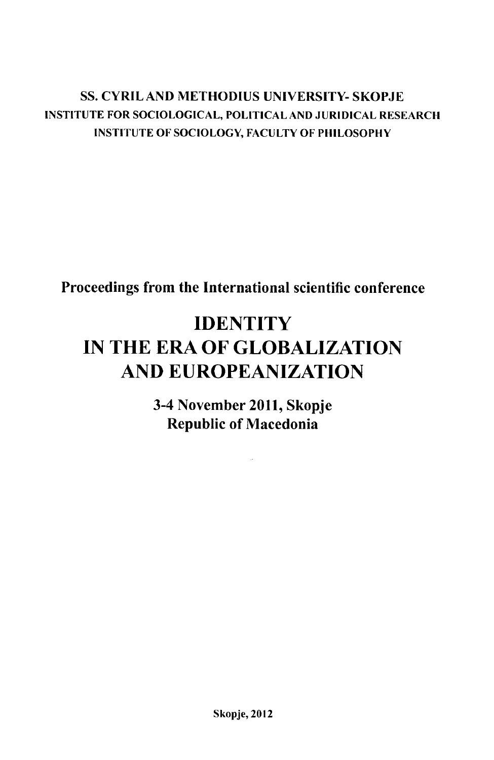### **SS. CYRIL AND METHODIUS UNIVERSITY- SKOPJE INSTITUTE FOR SOCIOLOGICAL, POLITICAL AND JURIDICAL RESEARCH INSTITUTE OF SOCIOLOGY, FACULTY OF PHILOSOPHY**

**Proceedings from the International scientific conference**

## **IDENTITY IN THE ERA OF GLOBALIZATION AND EUROPEANIZATION**

**3-4 November 2011, Skopje Republic of Macedonia**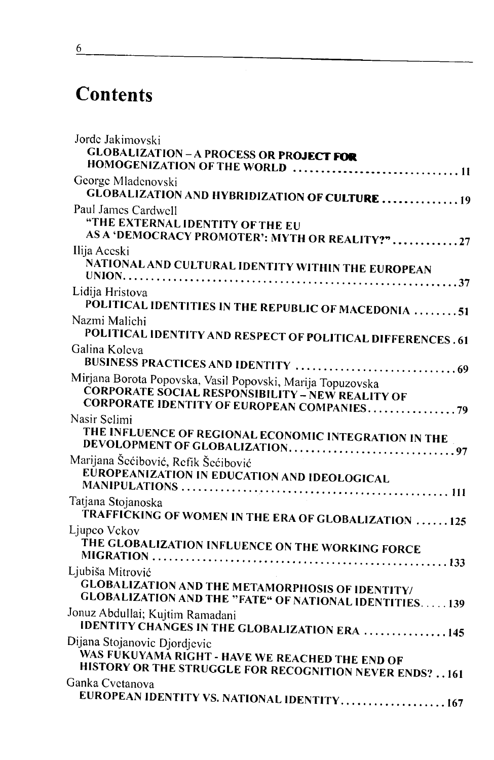# **Contents**

| Jorde Jakimovski<br><b>GLOBALIZATION - A PROCESS OR PROJECT FOR</b><br>HOMOGENIZATION OF THE WORLD  11                                                              |  |
|---------------------------------------------------------------------------------------------------------------------------------------------------------------------|--|
| George Mladenovski<br><b>GLOBALIZATION AND HYBRIDIZATION OF CULTURE 19</b>                                                                                          |  |
| Paul James Cardwell<br>"THE EXTERNAL IDENTITY OF THE EU<br>AS A 'DEMOCRACY PROMOTER': MYTH OR REALITY?" 27                                                          |  |
| Ilija Aceski<br>NATIONAL AND CULTURAL IDENTITY WITHIN THE EUROPEAN                                                                                                  |  |
| Lidija Hristova<br><b>POLITICAL IDENTITIES IN THE REPUBLIC OF MACEDONIA 51</b>                                                                                      |  |
| Nazmi Malichi<br>POLITICAL IDENTITY AND RESPECT OF POLITICAL DIFFERENCES . 61                                                                                       |  |
| Galina Koleva                                                                                                                                                       |  |
| Mirjana Borota Popovska, Vasil Popovski, Marija Topuzovska<br><b>ČORPORATE SOCIAL RESPONSIBILITY – NEW REALITY OF</b><br>CORPORATE IDENTITY OF EUROPEAN COMPANIES79 |  |
| Nasir Selimi<br>THE INFLUENCE OF REGIONAL ECONOMIC INTEGRATION IN THE                                                                                               |  |
| Marijana Šećibović, Refik Šećibović<br>EŬROPEANIZATION IN EDUCATION AND IDEOLOGICAL                                                                                 |  |
| Tatjana Stojanoska<br>TRAFFICKING OF WOMEN IN THE ERA OF GLOBALIZATION 125                                                                                          |  |
| Ljupco Vckov<br>THE GLOBALIZATION INFLUENCE ON THE WORKING FORCE                                                                                                    |  |
| Ljubiša Mitrović<br><b>GLOBALIZATION AND THE METAMORPHOSIS OF IDENTITY/</b><br><b>GLOBALIZATION AND THE "FATE" OF NATIONAL IDENTITIES139</b>                        |  |
| Jonuz Abdullai; Kujtim Ramadani<br><b>IDENTITY CHANGES IN THE GLOBALIZATION ERA 145</b>                                                                             |  |
| Dijana Stojanovic Djordjevic<br>WAS FUKUYAMĂ RIGHT - HAVE WE REACHED THE END OF<br>HISTORY OR THE STRUGGLE FOR RECOGNITION NEVER ENDS? 161                          |  |
| Ganka Cvetanova<br>EUROPEAN IDENTITY VS. NATIONAL IDENTITY 167                                                                                                      |  |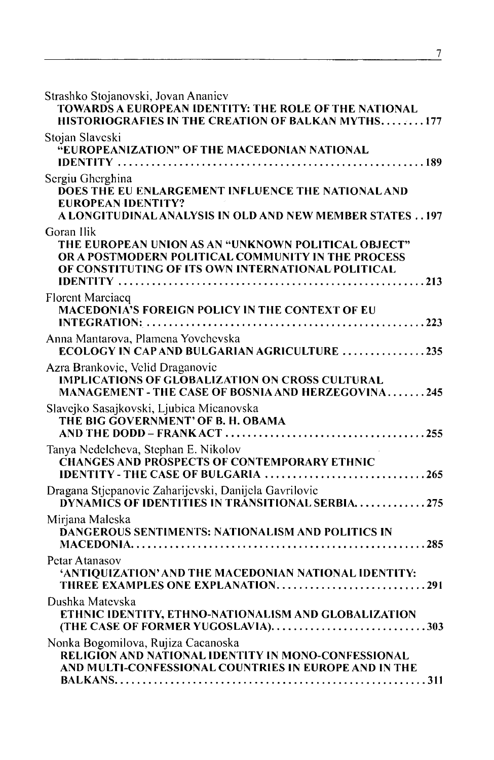| Strashko Stojanovski, Jovan Ananiev<br>TOWARDS A EUROPEAN IDENTITY: THE ROLE OF THE NATIONAL<br>HISTORIOGRAFIES IN THE CREATION OF BALKAN MYTHS177                            |
|-------------------------------------------------------------------------------------------------------------------------------------------------------------------------------|
| Stojan Slaveski<br>"EUROPEANIZATION" OF THE MACEDONIAN NATIONAL                                                                                                               |
| Sergiu Gherghina<br><b>DOES THE EU ENLARGEMENT INFLUENCE THE NATIONAL AND</b><br><b>EUROPEAN IDENTITY?</b><br>A LONGITUDINAL ANALYSIS IN OLD AND NEW MEMBER STATES 197        |
| Goran Ilik<br>THE EUROPEAN UNION AS AN "UNKNOWN POLITICAL OBJECT"<br>OR A POSTMODERN POLITICAL COMMUNITY IN THE PROCESS<br>OF CONSTITUTING OF ITS OWN INTERNATIONAL POLITICAL |
| Florent Marciacq<br>MACEDONIA'S FOREIGN POLICY IN THE CONTEXT OF EU                                                                                                           |
| Anna Mantarova, Plamena Yovehevska<br>ECOLOGY IN CAP AND BULGARIAN AGRICULTURE 235                                                                                            |
| Azra Brankovic, Velid Draganovic<br><b>IMPLICATIONS OF GLOBALIZATION ON CROSS CULTURAL</b><br>MANAGEMENT - THE CASE OF BOSNIA AND HERZEGOVINA245                              |
| Slavejko Sasajkovski, Ljubica Micanovska<br>THE BIG GOVERNMENT' OF B. H. OBAMA                                                                                                |
| Tanya Nedelcheva, Stephan E. Nikolov<br><b>CHANGES AND PROSPECTS OF CONTEMPORARY ETHNIC</b><br>IDENTITY - THE CASE OF BULGARIA 265                                            |
| Dragana Stjepanovic Zaharijevski, Danijela Gavrilovic<br>DYNAMICS OF IDENTITIES IN TRANSITIONAL SERBIA. 275                                                                   |
| Mirjana Maleska<br>DANGEROUS SENTIMENTS: NATIONALISM AND POLITICS IN                                                                                                          |
| Petar Atanasov<br>'ANTIQUIZATION' AND THE MACEDONIAN NATIONAL IDENTITY:<br>THREE EXAMPLES ONE EXPLANATION291                                                                  |
| Dushka Matevska<br>ETHNIC IDENTITY, ETHNO-NATIONALISM AND GLOBALIZATION<br>(THE CASE OF FORMER YUGOSLAVIA)303                                                                 |
| Nonka Bogomilova, Rujiza Cacanoska<br>RELIGION AND NATIONAL IDENTITY IN MONO-CONFESSIONAL<br>AND MULTI-CONFESSIONAL COUNTRIES IN EUROPE AND IN THE                            |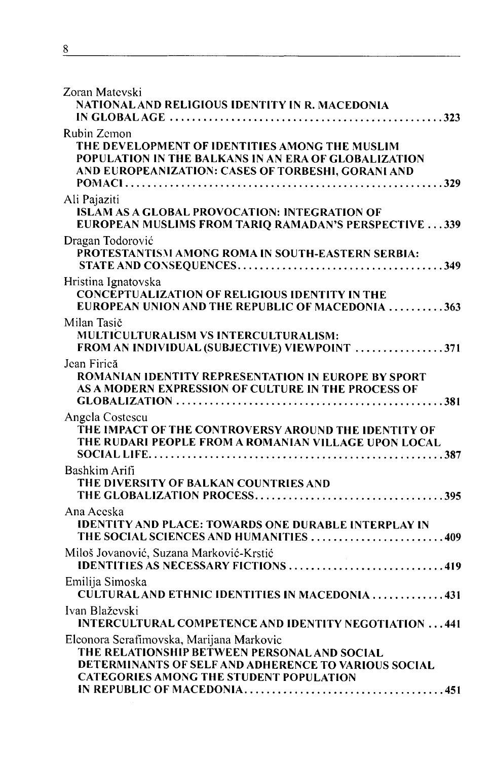| Zoran Matevski                                                                                                                                                                                     |
|----------------------------------------------------------------------------------------------------------------------------------------------------------------------------------------------------|
| NATIONAL AND RELIGIOUS IDENTITY IN R. MACEDONIA                                                                                                                                                    |
|                                                                                                                                                                                                    |
| Rubin Zemon<br>THE DEVELOPMENT OF IDENTITIES AMONG THE MUSLIM<br>POPULATION IN THE BALKANS IN AN ERA OF GLOBALIZATION<br>AND EUROPEANIZATION: CASES OF TORBESHI, GORANI AND                        |
| Ali Pajaziti<br><b>ISLAM AS A GLOBAL PROVOCATION: INTEGRATION OF</b><br>EUROPEAN MUSLIMS FROM TARIQ RAMADAN'S PERSPECTIVE  339                                                                     |
| Dragan Todorović<br>PROTESTANTISM AMONG ROMA IN SOUTH-EASTERN SERBIA:                                                                                                                              |
| Hristina Ignatovska<br><b>CONCEPTUALIZATION OF RELIGIOUS IDENTITY IN THE</b><br>EUROPEAN UNION AND THE REPUBLIC OF MACEDONIA 363                                                                   |
| Milan Tasič<br><b>MULTICULTURALISM VS INTERCULTURALISM:</b><br>FROM AN INDIVIDUAL (SUBJECTIVE) VIEWPOINT 371                                                                                       |
| Jean Firică<br>ROMANIAN IDENTITY REPRESENTATION IN EUROPE BY SPORT<br>AS A MODERN EXPRESSION OF CULTURE IN THE PROCESS OF                                                                          |
| Angela Costescu<br>THE IMPACT OF THE CONTROVERSY AROUND THE IDENTITY OF<br>THE RUDARI PEOPLE FROM A ROMANIAN VILLAGE UPON LOCAL                                                                    |
| Bashkim Arifi<br>THE DIVERSITY OF BALKAN COUNTRIES AND                                                                                                                                             |
| Ana Aceska<br><b>IDENTITY AND PLACE: TOWARDS ONE DURABLE INTERPLAY IN</b><br>THE SOCIAL SCIENCES AND HUMANITIES 409                                                                                |
| Miloš Jovanović, Suzana Marković-Krstić<br>IDENTITIES AS NECESSARY FICTIONS 419                                                                                                                    |
| Emilija Simoska<br>CULTURAL AND ETHNIC IDENTITIES IN MACEDONIA 431                                                                                                                                 |
| Ivan Blaževski<br><b>INTERCULTURAL COMPETENCE AND IDENTITY NEGOTIATION 441</b>                                                                                                                     |
| Eleonora Serafimovska, Marijana Markovic<br>THE RELATIONSHIP BETWEEN PERSONAL AND SOCIAL<br>DETERMINANTS OF SELF AND ADHERENCE TO VARIOUS SOCIAL<br><b>CATEGORIES AMONG THE STUDENT POPULATION</b> |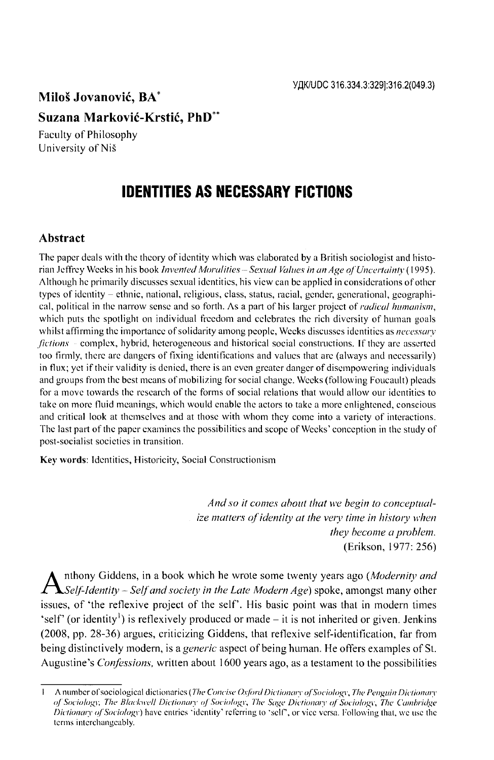### **Milos Jovanovic, BA\***

### **Suzana Markovic-Krstic, PhD\*\***

<span id="page-4-0"></span>Faculty of Philosophy University of Nis

## **IDENTITIES AS NECESSARY FICTIONS**

#### **Abstract**

**The paper deals with the theory of identity which was elaborated by a British sociologist and histo**rian Jeffrey Weeks in his book *Invented Moralities - Sexual Values in an Age of Uncertainty* (1995). **Although he primarily discusses sexual identities, his view can be applied in considerations of other types of identity - ethnic, national, religious, class, status, racial, gender, generational, geographical, political in the narrow sense and so forth. As a part of his larger project of** *radical humanism***, which puts the spotlight on individual freedom and celebrates the rich diversity of human goals whilst affirming the importance of solidarity among people, Weeks discusses identities as** *necessary fictions* **complex, hybrid, heterogeneous and historical social constructions. If they are asserted too firmly, there are dangers of fixing identifications and values that arc (always and necessarily) in flux; yet if their validity is denied, there is an even greater danger of disempowcring individuals and groups from the best means Of mobilizing for social change. Weeks (following Foucault) pleads for a move towards the research of the forms of social relations that would allow our identities to take on more fluid meanings, which would enable the actors to take a more enlightened, conscious and critical look at themselves and at those with whom they come into a variety of interactions. The last part of the paper examines the possibilities and scope of Weeks' conception in the study of post-socialist societies in transition.**

**Key words: Identities, Historicity, Social Constructionism**

*And so it comes about that we begin to conceptualize matters of identity at the very time in history when they become a problem.* (Erikson, 1977: 256)

A nthony Giddens, in a book which he wrote some twenty years ago (*Modernity and*<br>Self-Identity – Self and society in the Late Modern Age) spoke, amongst many other<br>investors of the and suite angles of the self. His haste nthony Giddens, in a book which he wrote some twenty years ago (*Modernity and* issues, of 'the reflexive project of the self'. His basic point was that in modern times 'self' (or identity<sup>1</sup>) is reflexively produced or made  $-$  it is not inherited or given. Jenkins (2008, pp. 28-36) argues, criticizing Giddens, that reflexive self-identification, far from being distinctively modern, is a *generic* aspect of being human. He offers examples of St. Augustine's *Confessions,* written about 1600 years ago, as a testament to the possibilities

<sup>1</sup> A number of sociological dictionaries (*The Concise Oxford Dictionary of Sociology, The Penguin Dictionary o f Sociology, The Blackwell Dictionary o f Sociology, The Sage Dictionary o f Sociology, The Cambridge Dictionary of Sociology*) have entries 'identity' referring to 'self', or vice versa. Following that, we use the **terms interchangeably.**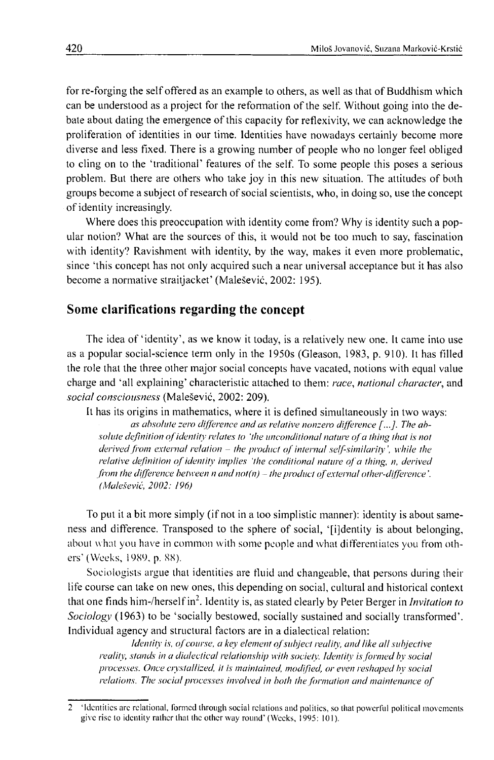for re-forging the self offered as an example to others, as well as that of Buddhism which can be understood as a project for the reformation of the self. Without going into the debate about dating the emergence of this capacity for reflexivity, we can acknowledge the proliferation of identities in our time. Identities have nowadays certainly become more diverse and less fixed. There is a growing number of people who no longer feel obliged to cling on to the 'traditional' features of the self. To some people this poses a serious problem. But there are others who take joy in this new situation. The attitudes of both groups become a subject of research of social scientists, who, in doing so, use the concept of identity increasingly.

Where does this preoccupation with identity come from? Why is identity such a popular notion? What are the sources of this, it would not be too much to say, fascination with identity? Ravishment with identity, by the way, makes it even more problematic, since 'this concept has not only acquired such a near universal acceptance but it has also become a normative straitjacket' (Malešević, 2002: 195).

#### **Some clarifications regarding the concept**

The idea of 'identity', as we know it today, is a relatively new one. It came into use as a popular social-science term only in the 1950s (Gleason, 1983, p. 910). It has filled the role that the three other major social concepts have vacated, notions with equal value charge and 'all explaining' characteristic attached to them: *race, national character*, and *social consciousness* (Malesevic, 2002: 209).

It has its origins in mathematics, where it is defined simultaneously in two ways: *as absolute zero difference and as relative nonzero difference [...]. The ab*solute definition of identity relates to 'the unconditional nature of a thing that is not derived from external relation – the product of internal self-similarity', while the *relative definition of identity implies 'the conditional nature of a thing, n, derived* from the difference between n and not(n) – the product of external other-difference'. *(Malesevic, 2002: 196)*

To put it a bit more simply (if not in a too simplistic manner): identity is about sameness and difference. Transposed to the sphere of social, '[ijdentity is about belonging, about what you have in common with some people and what differentiates you from others' (Weeks, 1989, p. 88).

Sociologists argue that identities are fluid and changeable, that persons during their life course can take on new ones, this depending on social, cultural and historical context that one finds him-/herself in2. Identity is, as stated clearly by Peter Berger in *Invitation to Sociology* (1963) to be 'socially bestowed, socially sustained and socially transformed'. Individual agency and structural factors are in a dialectical relation:

*Identity is, of course, a key element of subject reality, and like all subjective reality, stands in a dialectical relationship with society***.** *Identity is formed by social processes. Once crystallized, it is maintained, modified, or even reshaped by social relations. The social processes involved in both the formation and maintenance of* 

**<sup>2 &</sup>quot;Identities arc relational, formed through social relations and politics, so that powerful political movements give rise to identity rather that the other way round' (Weeks, 1995: 101).**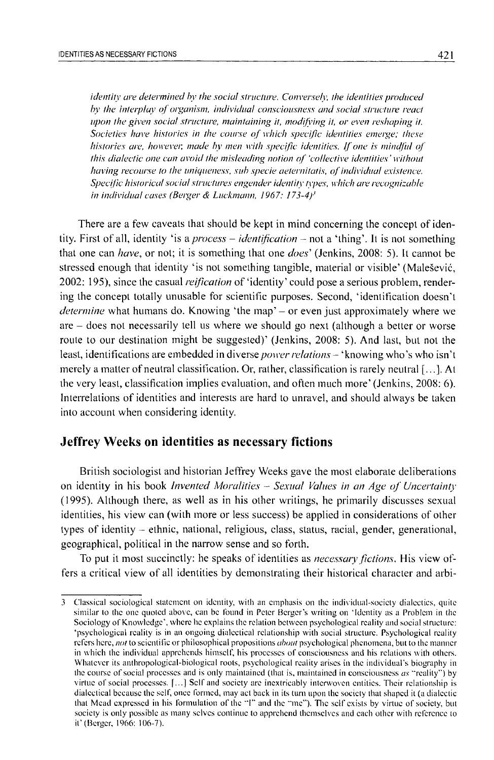*identity are determined by the social structure. Conversely, the identities produced* by the interplay of organism, individual consciousness and social structure react *upon the given social structure, maintaining it, modifying it, or even reshaping it. Societies have histories in the course of which specific identities emerge; these histories are, however, made by men with specific identities. If one is mindful of this dialectic one can avoid the misleading notion of 'collective identities' without having recourse to the uniqueness, sub specie aeternitatis, of individual existence. Specific historical social structures engender identity types, which are recognizable in individual cases (Berger & Luckmann, 1967: 173-4f*

There are a few caveats that should be kept in mind concerning the concept of identity. First of all, identity 'is a *process* – *identification* – not a 'thing'. It is not something that one can *have*, or not; it is something that one *does'* (Jenkins, 2008: 5). It cannot be stressed enough that identity 'is not something tangible, material or visible' (Malesevic, 2002: 195), since the casual *reification* of 'identity' could pose a serious problem, rendering the concept totally unusable for scientific purposes. Second, 'identification doesn't *determine* what humans do. Knowing 'the map' - or even just approximately where we are - does not necessarily tell us where we should go next (although a better or worse route to our destination might be suggested)' (Jenkins, 2008: 5). And last, but not the least, identifications are embedded in diverse *power relations* - 'knowing who's who isn't merely a matter of neutral classification. Or, rather, classification is rarely neutral [...]. At the very least, classification implies evaluation, and often much more' (Jenkins, 2008: 6). Interrelations of identities and interests are hard to unravel, and should always be taken into account when considering identity.

#### **Jeffrey Weeks on identities as necessary fictions**

British sociologist and historian Jeffrey Weeks gave the most elaborate deliberations on identity in his book *Invented Moralities - Sexual Values in an Age of Uncertainty* (1995). Although there, as well as in his other writings, he primarily discusses sexual identities, his view can (with more or less success) be applied in considerations of other types of identity - ethnic, national, religious, class, status, racial, gender, generational, geographical, political in the narrow sense and so forth.

To put it most succinctly: he speaks of identities as *necessary fictions.* His view offers a critical view of all identities by demonstrating their historical character and arbi-

**<sup>3</sup> Classical sociological statement on identity, with an emphasis on the individual-socicty dialectics, quite similar to the one quoted above, can be found in Peter Berger's writing on 'Identity as a Problem in the** Sociology of Knowledge', where he explains the relation between psychological reality and social structure: **'psychological reality is in an ongoing dialectical relationship with social structure. Psychological reality refers here,** *not* **to scientific or philosophical propositions** *about* **psychological phenomena, but to the manner** in which the individual apprehends himself, his processes of consciousness and his relations with others. **Whatever its anthropological-biological roots, psychological reality arises in the individual's biography in** the course of social processes and is only maintained (that is, maintained in consciousness *as* "reality") by **virtue of social processes. [...] Self and society arc inextricably interwoven entities. Their relationship is dialectical because the self, once formed, may act back in its turn upon the society that shaped it (a dialectic** that Mead expressed in his formulation of the "I" and the "me"). The self exists by virtue of society, but **society is only possible as many selves continue to apprehend themselves and each other with reference to it' (Berger, 1966: 106-7).**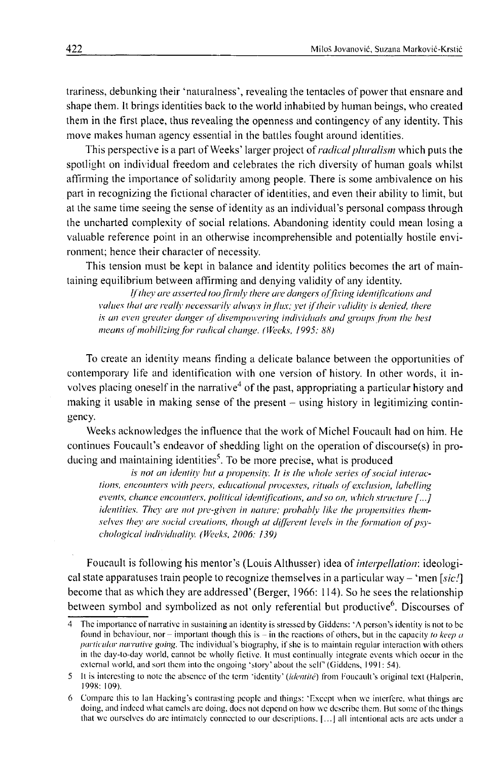trariness, debunking their 'naturalness', revealing the tentacles of power that ensnare and shape them. It brings identities back to the world inhabited by human beings, who created them in the first place, thus revealing the openness and contingency of any identity. This move makes human agency essential in the battles fought around identities.

This perspective is a part of Weeks' larger project of *radical pluralism* which puts the spotlight on individual freedom and celebrates the rich diversity of human goals whilst affirming the importance of solidarity among people. There is some ambivalence on his part in recognizing the fictional character of identities, and even their ability to limit, but at the same time seeing the sense of identity as an individual's personal compass through the uncharted complexity of social relations. Abandoning identity could mean losing a valuable reference point in an otherwise incomprehensible and potentially hostile environment; hence their character of necessity.

This tension must be kept in balance and identity politics becomes the art of maintaining equilibrium between affirming and denying validity of any identity.

If they are asserted too firmly there are dangers of fixing identifications and *values that are really necessarily always in flux; yet if their validity is denied, there is an even greater danger of disempowering individuals and groups from the best* means of mobilizing for radical change. (Weeks, 1995: 88)

To create an identity means finding a delicate balance between the opportunities of contemporary life and identification with one version of history. In other words, it involves placing oneself in the narrative<sup>4</sup> of the past, appropriating a particular history and making it usable in making sense of the present  $-$  using history in legitimizing contingency.

Weeks acknowledges the influence that the work of Michel Foucault had on him. He continues Foucault's endeavor of shedding light on the operation of discourse(s) in producing and maintaining identities<sup>5</sup>. To be more precise, what is produced

*is not an identity but a propensity. It is the whole series of social interactions, encounters with peers, educational processes, rituals of exclusion, labelling events, chance encounters, political identifications, and so on, which structure [...] identities. They are not pre-given in nature; probably like the propensities them*selves they are social creations, though at different levels in the formation of psy*chological individuality. (Weeks, 2006: 139)*

Foucault is following his mentor's (Louis Althusser) idea of *interpellation',* ideological state apparatuses train people to recognize themselves in a particular way – 'men *[sic!*] become that as which they are addressed' (Berger, 1966: 114). So he sees the relationship between symbol and symbolized as not only referential but productive<sup>6</sup>. Discourses of

**<sup>4</sup> The importance of narrative in sustaining an identity is stressed by Giddcns: 'A person's identity is not to be** found in behaviour, nor - important though this is - in the reactions of others, but in the capacity *to keep a particular narrative going.* **The individual's biography, if she is to maintain regular interaction with others in the day-to-day world, cannot be wholly fictivc. It must continually integrate events which occur in the external world, and sort them into the ongoing 'story' about the self' (Giddcns, 1991: 54).**

**<sup>5</sup> It is interesting to note the absence o f the term 'identity' (***identite)* **from Foucault's original text (Halpcrin, 1998: 109).**

**<sup>6</sup> Compare this to Ian Hacking's contrasting people and things: 'Except when we interfere, what things arc doing, and indeed what camels arc doing, docs not depend on how we describe them. But some of the things that we ourselves do are intimately connected to our descriptions. | ...J all intentional acts arc acts under a**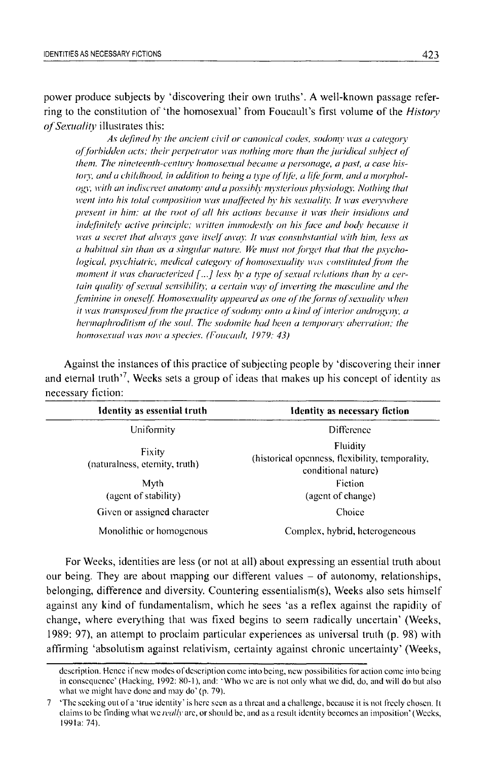power produce subjects by 'discovering their own truths'. A well-known passage referring to the constitution of 'the homosexual' from Foucault's first volume of the *History of Sexuality* illustrates this:

*As defined by the ancient civil or canonical codes, sodomy was a category of forbidden acts; their perpetrator was nothing more than the juridical subject of them. The nineteenth-century homosexual became a personage, a past, a case his*tory, and a childhood, in addition to being a type of life, a life form, and a morphol*ogy, with an indiscreet anatomy and a possibly mysterious physiology. Nothing that went into his total composition was unaffected by his sexuality. It was everywhere present in him: at the root of all his actions because it was their insidious and indefinitely active principle; written immodestly on his face and body because it was a secret that always gave itself away. It was consubstantial with him, less as a habitual sin than as a singular nature. We must not forget that that the psychological, psychiatric, medical category of homosexuality was constituted from the moment it was characterized [...] less by a type of sexual relations than by a certain quality of sexual sensibility, a certain way of inverting the masculine and the feminine in oneself. Homosexuality appeared as one of the forms of sexuality when it was transposed from the practice of sodomy onto a kind of interior androgyny, a hermaphroditism of the soul. The sodomite had been a temporary aberration; the homosexual was now a species. (Foucault, 1979: 43)*

Against the instances of this practice of subjecting people by 'discovering their inner and eternal truth<sup>17</sup>, Weeks sets a group of ideas that makes up his concept of identity as necessary fiction:

| Identity as essential truth              | <b>Identity as necessary fiction</b>                                               |
|------------------------------------------|------------------------------------------------------------------------------------|
| Uniformity                               | <b>Difference</b>                                                                  |
| Fixity<br>(naturalness, eternity, truth) | Fluidity<br>(historical openness, flexibility, temporality,<br>conditional nature) |
| Myth                                     | Fiction                                                                            |
| (agent of stability)                     | (agent of change)                                                                  |
| Given or assigned character              | Choice                                                                             |
| Monolithic or homogenous                 | Complex, hybrid, heterogeneous                                                     |

For Weeks, identities are less (or not at all) about expressing an essential truth about our being. They are about mapping our different values  $-$  of autonomy, relationships, belonging, difference and diversity. Countering essentialism(s), Weeks also sets himself against any kind of fundamentalism, which he sees 'as a reflex against the rapidity of change, where everything that was fixed begins to seem radically uncertain' (Weeks, 1989: 97), an attempt to proclaim particular experiences as universal truth (p. 98) with affirming 'absolutism against relativism, certainty against chronic uncertainty' (Weeks,

description. Hence if new modes of description come into being, new possibilities for action come into being **in consequence' (Hacking, 1992: 80-1), and: 'Who we arc is not only what we did, do, and will do but also what we might have done and may do' (p. 79).**

**<sup>7</sup>** 'The seeking out of a 'true identity' is here seen as a threat and a challenge, because it is not freely chosen. It **claims to be finding what we** *realty* **arc, or should be, and as a result identity becomes an imposition' (Weeks, 1991a: 74).**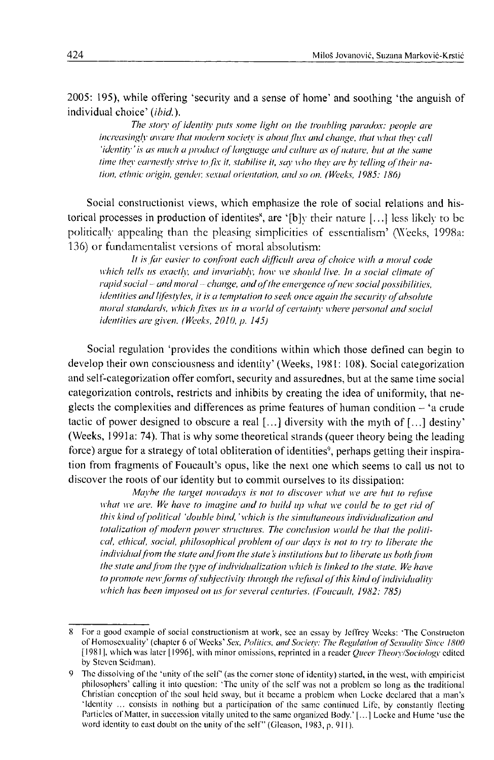2005: 195), while offering 'security and a sense of home' and soothing 'the anguish of individual choice' *(ibid.).*

The story of identity puts some light on the troubling paradox: people are *increasingly aware that modern society is about flux and change, that what they call 'identity' is as much a product of language and culture as of nature, but at the same time they earnestly strive to fix it, stabilise it, say who they are by telling of their nation, ethnic origin, gender, sexual orientation, and so on. (Weeks, 1985: 186)*

Social constructionist views, which emphasize the role of social relations and historical processes in production of identites<sup>\*</sup>, are '[b]y their nature [...] less likely to be politically appealing than the pleasing simplicities of essentialism' (Weeks, 1998a: 136) or fundamentalist versions of moral absolutism:

It is far easier to confront each difficult area of choice with a moral code *which tells us exactly, and invariably, how we should live. In a social climate of* rapid social – and moral – change, and of the emergence of new social possibilities, *identities and lifestyles, it is a temptation to seek once again the security of absolute moral standards, which fixes us in a world of certainty where personal and social identities are given. (Weeks, 2010, p. 145)*

Social regulation 'provides the conditions within which those defined can begin to develop their own consciousness and identity' (Weeks, 1981: 108). Social categorization and self-categorization offer comfort, security and assurednes, but at the same time social categorization controls, restricts and inhibits by creating the idea of uniformity, that neglects the complexities and differences as prime features of human condition - 'a crude tactic of power designed to obscure a real  $[\dots]$  diversity with the myth of  $[\dots]$  destiny' (Weeks, 1991a: 74). That is why some theoretical strands (queer theory being the leading force) argue for a strategy of total obliteration of identities<sup>9</sup>, perhaps getting their inspiration from fragments of Foucault's opus, like the next one which seems to call us not to discover the roots of our identity but to commit ourselves to its dissipation:

*Maybe the target nowadays is not to discover what we are hut to refuse* what we are. We have to imagine and to build up what we could be to get rid of *this kind of political 'double bind,' which is the simultaneous individualization and* totalization of modern power structures. The conclusion would be that the politi*cal, ethical, social, philosophical problem of our days is not to try to liberate the individual from the state and from the state's institutions but to liberate us both from the state and from the type of individualization which is linked to the state. We have to promote new forms of subjectivity through the refusal of this kind of individuality which has been imposed on us for several centuries. (Foucault, 1982: 785)*

<sup>8</sup> For a good example of social constructionism at work, see an essay by Jeffrey Weeks: 'The Constructon of Homosexuality' (chapter 6 of Weeks' Sex, Politics, and Society: The Regulation of Sexuality Since 1800 **[19811, which was later [1996], with minor omissions, reprinted in a reader** *Queer Theory/Sociology* **edited by Steven Scidman).**

**<sup>9</sup>** The dissolving of the 'unity of the self' (as the corner stone of identity) started, in the west, with empiricist **philosophers' calling it into question: 'The unity of the self was not a problem so long as the traditional** Christian conception of the soul held sway, but it became a problem when Locke declared that a man's 'Identity ... consists in nothing but a participation of the same continued Life, by constantly fleeting **Particles of Matter, in succession vitally united to the same organized Body.' [...] Locke and Hume 'use the** word identity to cast doubt on the unity of the self" (Gleason, 1983, p. 911).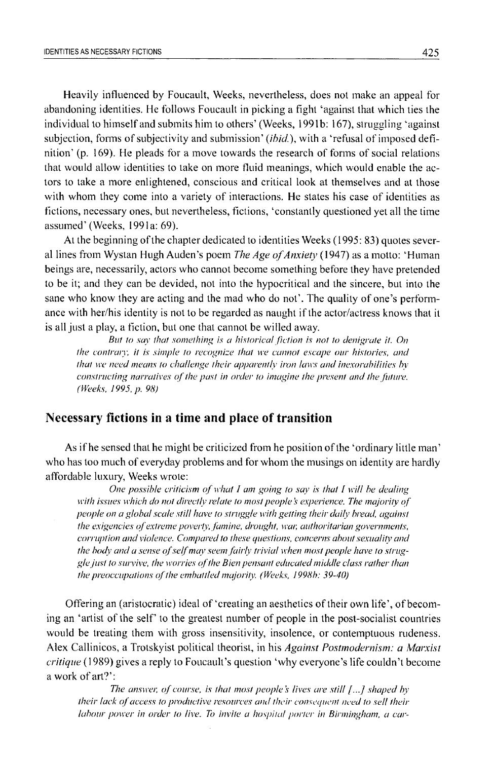Heavily influenced by Foucault, Weeks, nevertheless, does not make an appeal for abandoning identities. He follows Foucault in picking a fight 'against that which ties the individual to himself and submits him to others' (Weeks, 1991b: 167), struggling 'against subjection, forms of subjectivity and submission' *{ibid.),* with a 'refusal of imposed definition' (p. 169). He pleads for a move towards the research of forms of social relations that would allow identities to take on more fluid meanings, which would enable the actors to take a more enlightened, conscious and critical look at themselves and at those with whom they come into a variety of interactions. He states his case of identities as fictions, necessary ones, but nevertheless, fictions, 'constantly questioned yet all the time assumed' (Weeks, 1991a: 69).

At the beginning of the chapter dedicated to identities Weeks (1995: 83) quotes several lines from Wystan Hugh Auden's poem *The Age o f Anxiety* (1947) as a motto: 'Human beings are, necessarily, actors who cannot become something before they have pretended to be it; and they can be devided, not into the hypocritical and the sincere, but into the sane who know they are acting and the mad who do not'. The quality of one's performance with her/his identity is not to be regarded as naught if the actor/actress knows that it is all just a play, a fiction, but one that cannot be willed away.

*But to say that something is a historical fiction is not to denigrate it. On the contrary, it is simple to recognize that we cannot escape our histories, and that we need means to challenge their apparently iron laws and inexorabilities by constructing narratives of the past in order to imagine the present and the future. (Weeks, 1995, p. 98)*

#### **Necessary fictions in a time and place of transition**

As if he sensed that he might be criticized from he position of the 'ordinary little man' who has too much of everyday problems and for whom the musings on identity are hardly affordable luxury, Weeks wrote:

*One possible criticism of what I am going to say is that I will be dealing* with issues which do not directly relate to most people's experience. The majority of *people on a global scale still have to struggle with getting their daily bread, against the exigencies of extreme poverty, famine, drought, war, authoritarian governments, corruption and violence. Compared to these questions, concerns about sexuality and* the body and a sense of self may seem fairly trivial when most people have to strug*gle just to survive, the worries o f the Bien pensant educated middle class rather than the preoccupations of the embattled majority. (Weeks, 1998b: 39-40)* 

Offering an (aristocratic) ideal of 'creating an aesthetics of their own life', of becoming an 'artist of the self' to the greatest number of people in the post-socialist countries would be treating them with gross insensitivity, insolence, or contemptuous rudeness. Alex Callinicos, a Trotskyist political theorist, in his *Against Postmodernism: a Marxist critique* (1989) gives a reply to Foucault's question 'why everyone's life couldn't become a work of art?':

*The answer, of course, is that most people's lives are still [...] shaped by their lack of access to productive resources and their consequent need to sell their labour power in order to live. To invite a hospital porter in Birmingham, a car-*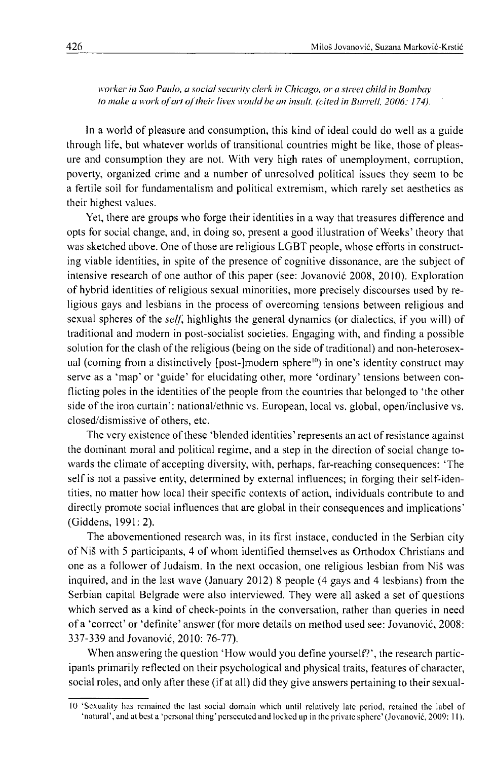*worker in Sao Paulo, a social security clerk in Chicago, or a street child in Bombay to make a work of art of their lives would be an insult. (cited in Burrell, 2006: 174).* 

In a world of pleasure and consumption, this kind of ideal could do well as a guide through life, but whatever worlds of transitional countries might be like, those of pleasure and consumption they are not. With very high rates of unemployment, corruption, poverty, organized crime and a number of unresolved political issues they seem to be a fertile soil for fundamentalism and political extremism, which rarely set aesthetics as their highest values.

Yet, there are groups who forge their identities in a way that treasures difference and opts for social change, and, in doing so, present a good illustration of Weeks' theory that was sketched above. One of those are religious LGBT people, whose efforts in constructing viable identities, in spite of the presence of cognitive dissonance, are the subject of intensive research of one author of this paper (see: Jovanovic 2008, 2010). Exploration of hybrid identities of religious sexual minorities, more precisely discourses used by religious gays and lesbians in the process of overcoming tensions between religious and sexual spheres of the *self*, highlights the general dynamics (or dialectics, if you will) of traditional and modern in post-socialist societies. Engaging with, and finding a possible solution for the clash of the religious (being on the side of traditional) and non-heterosexual (coming from a distinctively [post-]modern sphere<sup>10</sup>) in one's identity construct may serve as a 'map' or 'guide' for elucidating other, more 'ordinary' tensions between conflicting poles in the identities of the people from the countries that belonged to 'the other side of the iron curtain': national/ethnic vs. European, local vs. global, open/inclusive vs. closed/dismissive of others, etc.

The very existence of these 'blended identities' represents an act of resistance against the dominant moral and political regime, and a step in the direction of social change towards the climate of accepting diversity, with, perhaps, far-reaching consequences: 'The self is not a passive entity, determined by external influences; in forging their self-identities, no matter how local their specific contexts of action, individuals contribute to and directly promote social influences that are global in their consequences and implications' (Giddens, 1991: 2).

The abovementioned research was, in its first instace, conducted in the Serbian city of Nis with 5 participants, 4 of whom identified themselves as Orthodox Christians and one as a follower of Judaism. In the next occasion, one religious lesbian from Nis was inquired, and in the last wave (January 2012) 8 people (4 gays and 4 lesbians) from the Serbian capital Belgrade were also interviewed. They were all asked a set of questions which served as a kind of check-points in the conversation, rather than queries in need of a 'correct' or 'definite' answer (for more details on method used see: Jovanovic, 2008: 337-339 and Jovanovic, 2010: 76-77).

When answering the question 'How would you define yourself?', the research participants primarily reflected on their psychological and physical traits, features of character, social roles, and only after these (if at all) did they give answers pertaining to their sexual-

<sup>10 &#</sup>x27;Sexuality has remained the last social domain which until relatively late period, retained the label of **"natural', and at best a 'personal thing' persecuted and locked up in the private sphere' (Jovanovic, 2009: 11).**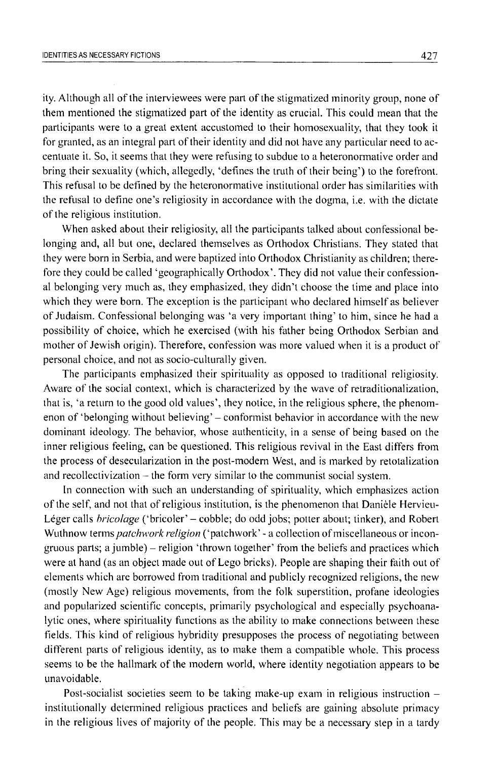ity. Although all of the interviewees were part of the stigmatized minority group, none of them mentioned the stigmatized part of the identity as crucial. This could mean that the participants were to a great extent accustomed to their homosexuality, that they took it for granted, as an integral part of their identity and did not have any particular need to accentuate it. So, it seems that they were refusing to subdue to a heteronormative order and bring their sexuality (which, allegedly, 'defines the truth of their being') to the forefront. This refusal to be defined by the heteronormative institutional order has similarities with the refusal to define one's religiosity in accordance with the dogma, i.e. with the dictate of the religious institution.

When asked about their religiosity, all the participants talked about confessional belonging and, all but one, declared themselves as Orthodox Christians. They stated that they were born in Serbia, and were baptized into Orthodox Christianity as children; therefore they could be called 'geographically Orthodox'. They did not value their confessional belonging very much as, they emphasized, they didn't choose the time and place into which they were born. The exception is the participant who declared himself as believer of Judaism. Confessional belonging was 'a very important thing' to him, since he had a possibility of choice, which he exercised (with his father being Orthodox Serbian and mother of Jewish origin). Therefore, confession was more valued when it is a product of personal choice, and not as socio-culturally given.

The participants emphasized their spirituality as opposed to traditional religiosity. Aware of the social context, which is characterized by the wave of retraditionalization, that is, 'a return to the good old values', they notice, in the religious sphere, the phenomenon of 'belonging without believing' – conformist behavior in accordance with the new dominant ideology. The behavior, whose authenticity, in a sense of being based on the inner religious feeling, can be questioned. This religious revival in the East differs from the process of desecularization in the post-modern West, and is marked by retotalization and recollectivization – the form very similar to the communist social system.

In connection with such an understanding of spirituality, which emphasizes action of the self, and not that of religious institution, is the phenomenon that Daniele Hervieu-Léger calls *bricolage* ('bricoler' - cobble; do odd jobs; potter about; tinker), and Robert Wuthnow terms *patchwork religion* ('patchwork' - a collection of miscellaneous or incongruous parts; a jumble) - religion 'thrown together' from the beliefs and practices which were at hand (as an object made out of Lego bricks). People are shaping their faith out of elements which are borrowed from traditional and publicly recognized religions, the new (mostly New Age) religious movements, from the folk superstition, profane ideologies and popularized scientific concepts, primarily psychological and especially psychoanalytic ones, where spirituality functions as the ability to make connections between these fields. This kind of religious hybridity presupposes the process of negotiating between different parts of religious identity, as to make them a compatible whole. This process seems to be the hallmark of the modern world, where identity negotiation appears to be unavoidable.

Post-socialist societies seem to be taking make-up exam in religious instruction – institutionally determined religious practices and beliefs are gaining absolute primacy in the religious lives of majority of the people. This may be a necessary step in a tardy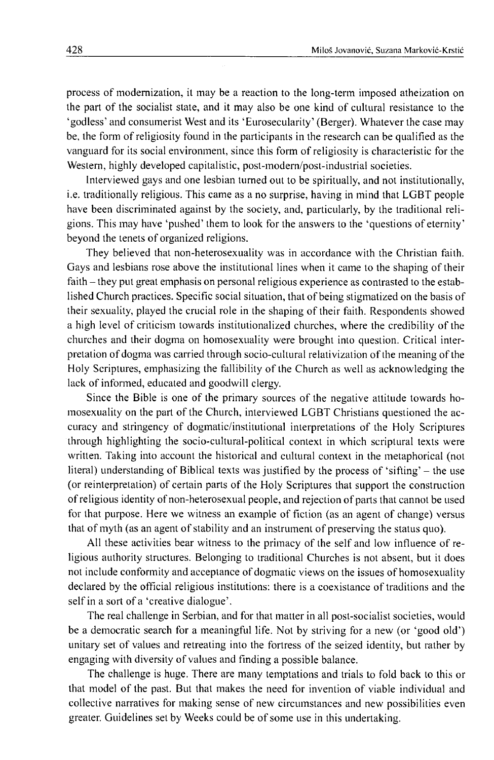process of modernization, it may be a reaction to the long-term imposed atheization on the part of the socialist state, and it may also be one kind of cultural resistance to the 'godless' and consumerist West and its 'Eurosecularity' (Berger). Whatever the case may be, the form of religiosity found in the participants in the research can be qualified as the vanguard for its social environment, since this form of religiosity is characteristic for the Western, highly developed capitalistic, post-modern/post-industrial societies.

Interviewed gays and one lesbian turned out to be spiritually, and not institutionally, i.e. traditionally religious. This came as a no surprise, having in mind that LGBT people have been discriminated against by the society, and, particularly, by the traditional religions. This may have 'pushed' them to look for the answers to the 'questions of eternity' beyond the tenets of organized religions.

They believed that non-heterosexuality was in accordance with the Christian faith. Gays and lesbians rose above the institutional lines when it came to the shaping of their faith – they put great emphasis on personal religious experience as contrasted to the established Church practices. Specific social situation, that of being stigmatized on the basis of their sexuality, played the crucial role in the shaping of their faith. Respondents showed a high level of criticism towards institutionalized churches, where the credibility of the churches and their dogma on homosexuality were brought into question. Critical interpretation of dogma was carried through socio-cultural relativizalion of the meaning of the Holy Scriptures, emphasizing the fallibility of the Church as well as acknowledging the lack of informed, educated and goodwill clergy.

Since the Bible is one of the primary sources of the negative attitude towards homosexuality on the part of the Church, interviewed LGBT Christians questioned the accuracy and stringency of dogmatic/institutional interpretations of the Holy Scriptures through highlighting the socio-cultural-political context in which scriptural texts were written. Taking into account the historical and cultural context in the metaphorical (not literal) understanding of Biblical texts was justified by the process of 'sifting' - the use (or reinterpretation) of certain parts of the Holy Scriptures that support the construction of religious identity of non-heterosexual people, and rejection of parts that cannot be used for that purpose. Here we witness an example of fiction (as an agent of change) versus that of myth (as an agent of stability and an instrument of preserving the status quo).

All these activities bear witness to the primacy of the self and low influence of religious authority structures. Belonging to traditional Churches is not absent, but it does not include conformity and acceptance of dogmatic views on the issues of homosexuality declared by the official religious institutions: there is a coexistance of traditions and the self in a sort of a 'creative dialogue'.

The real challenge in Serbian, and for that matter in all post-socialist societies, would be a democratic search for a meaningful life. Not by striving for a new (or 'good old') unitary set of values and retreating into the fortress of the seized identity, but rather by engaging with diversity of values and finding a possible balance.

The challenge is huge. There are many temptations and trials to fold back to this or that model of the past. But that makes the need for invention of viable individual and collective narratives for making sense of new circumstances and new possibilities even greater. Guidelines set by Weeks could be of some use in this undertaking.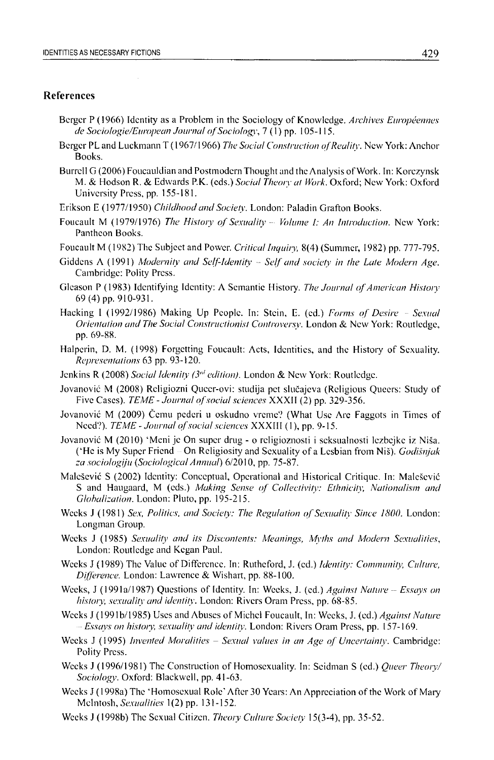#### **References**

- Berger P (1966) Identity as a Problem in the Sociology of Knowledge. Archives Européennes *de Sociologie/European Journal of Sociology*, 7(1) pp. 105-115.
- Berger PL and Luckmann T (1967/1966) *The Social Construction of Reality*. New York: Anchor **Books.**
- **Burrell G (2006) Foucauldian and Postmodern Thought and the Analysis of Work. In: Korczynsk M. & Hodson R. & Edwards P.K. (eds.)** *Social Theory at Work.* **Oxford; New York: Oxford University Press, pp. 155-181.**
- **Erikson E (1977/1950)** *Childhood and Society.* **London: Paladin Grafton Books.**
- **Foucault M (1979/1976)** *The History of Sexuality Volume I: An Introduction*. New York: **Pantheon Books.**
- **Foucault M (1982) The Subject and Power.** *Critical Inquiry,* **8(4) (Summer, 1982) pp. 777-795.**
- **Giddens A (1991)** *Modernity and Self-Identity ~ Self and society in the Late Modern Age.* **Cambridge: Polity Press.**
- Gleason P (1983) Identifying Identity: A Semantic History. *The Journal of American History* **69 (4) pp. 910-931.**
- Hacking I (1992/1986) Making Up People. In: Stein, E. (ed.) Forms of Desire Sexual *Orientation and The Social Constructionist Controversy.* **London & New York: Routledge, pp. 69-88.**
- **Halperin, D. M. (1998) Forgetting Foucault: Acts, Identities, and the History of Sexuality.** *Representations* **63 pp. 93-120.**
- **Jenkins R (2008)** *Social Identity (3nt edition).* **London & New York: Routledge.**
- **Jovanovic M (2008) Religiozni Queer-ovi: studija pet slucajeva (Religious Queers: Study of** Five Cases). *TEME - Journal of social sciences* XXXII (2) pp. 329-356.
- **Jovanovic M (2009) Cemu pederi u oskudno vremc? (What Use Arc Faggots in Times of Need?).** *TEME - Journal of social sciences* **XXXIII** (1), pp. 9-15.
- **Jovanovic M (2010) 'Meni je On super drug o religioznosti i scksualnosti lezbejke iz Nisa. ('He is My Super Friend - On Religiosity and Sexuality of a Lesbian from Nis).** *Godisnjak za sociologyu (Sociological Annual)* **6/2010, pp. 75-87.**
- **Malesevic S (2002) Identity: Conceptual, Operational and Historical Critique. In: Malesevic** S and Haugaard, M (eds.) *Making Sense of Collectivity: Ethnicity, Nationalism and Globalization.* **London: Pluto, pp. 195-215.**
- **Weeks J (1981)** *Sex, Politics, and Society: The Regulation of Sexuality Since 1800***. London: Longman Group.**
- **Weeks J (1985)** *Sexuality and its Discontents: Meanings, Myths and Modern Sexualities,* **London: Routledge and Kegan Paul.**
- **Weeks J (1989) The Value of Difference. In: Rutheford, J. (ed.)** *Identity: Community, Culture, Difference.* **London: Lawrence & Wishart, pp. 88-100.**
- Weeks, J (1991a/1987) Questions of Identity. In: Weeks, J. (ed.) *Against Nature Essays on history, sexuality and identity.* **London: Rivers Oram Press, pp. 68-85.**
- **Weeks J (199 lb/1985) Uses and Abuses of Michel Foucault, In: Weeks, J. (ed.)** *Against Nature - Essays on history, sexuality and identity.* **London: Rivers Oram Press, pp. 157-169.**
- **Weeks J (1995)** *Invented Moralities Sexual values in an Age of Uncertainty*. Cambridge: **Polity Press.**
- **Weeks J (1996/1981) The Construction of Homosexuality. In: Scidman S (ed.)** *Queer Theory/ Sociology.* **Oxford: Blackwell, pp. 41-63.**
- Weeks J (1998a) The 'Homosexual Role' After 30 Years: An Appreciation of the Work of Mary **McIntosh,** *Sexualities* **1 (2) pp. 131-152.**
- **Weeks J (1998b) The Sexual Citizen.** *Theory Culture Society* **15(3-4), pp. 35-52.**